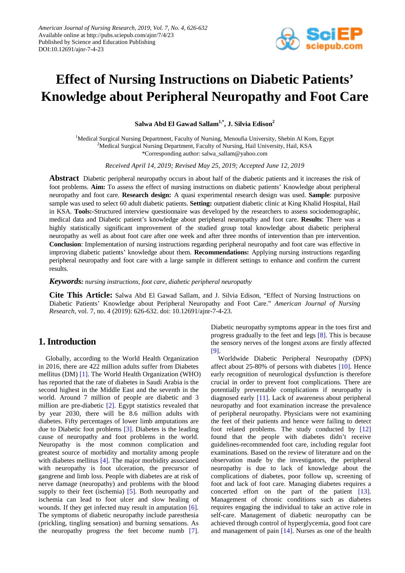

# **Effect of Nursing Instructions on Diabetic Patients' Knowledge about Peripheral Neuropathy and Foot Care**

**Salwa Abd El Gawad Sallam1,\*, J. Silvia Edison2**

<sup>1</sup>Medical Surgical Nursing Department, Faculty of Nursing, Menoufia University, Shebin Al Kom, Egypt <sup>2</sup>Medical Surgical Nursing Department, Faculty of Nursing, Hail University, Hail, KSA \*Corresponding author: salwa\_sallam@yahoo.com

*Received April 14, 2019; Revised May 25, 2019; Accepted June 12, 2019*

**Abstract** Diabetic peripheral neuropathy occurs in about half of the diabetic patients and it increases the risk of foot problems. **Aim:** To assess the effect of nursing instructions on diabetic patients' Knowledge about peripheral neuropathy and foot care. **Research design:** A quasi experimental research design was used. **Sample**: purposive sample was used to select 60 adult diabetic patients. **Setting:** outpatient diabetic clinic at King Khalid Hospital, Hail in KSA. **Tools:-**Structured interview questionnaire was developed by the researchers to assess sociodemographic, medical data and Diabetic patient's knowledge about peripheral neuropathy and foot care. **Results**: There was a highly statistically significant improvement of the studied group total knowledge about diabetic peripheral neuropathy as well as about foot care after one week and after three months of intervention than pre intervention. **Conclusion**: Implementation of nursing instructions regarding peripheral neuropathy and foot care was effective in improving diabetic patients' knowledge about them. **Recommendations:** Applying nursing instructions regarding peripheral neuropathy and foot care with a large sample in different settings to enhance and confirm the current results.

*Keywords: nursing instructions, foot care, diabetic peripheral neuropathy*

**Cite This Article:** Salwa Abd El Gawad Sallam, and J. Silvia Edison, "Effect of Nursing Instructions on Diabetic Patients' Knowledge about Peripheral Neuropathy and Foot Care." *American Journal of Nursing Research*, vol. 7, no. 4 (2019): 626-632. doi: 10.12691/ajnr-7-4-23.

# **1. Introduction**

Globally, according to the World Health Organization in 2016, there are 422 million adults suffer from Diabetes mellitus (DM) [\[1\].](#page-5-0) The World Health Organization (WHO) has reported that the rate of diabetes in Saudi Arabia is the second highest in the Middle East and the seventh in the world. Around 7 million of people are diabetic and 3 million are pre-diabetic [\[2\].](#page-5-1) Egypt statistics revealed that by year 2030, there will be 8.6 million adults with diabetes. Fifty percentages of lower limb amputations are due to Diabetic foot problems [\[3\].](#page-5-2) Diabetes is the leading cause of neuropathy and foot problems in the world. Neuropathy is the most common complication and greatest source of morbidity and mortality among people with diabetes mellitus [\[4\].](#page-5-3) The major morbidity associated with neuropathy is foot ulceration, the precursor of gangrene and limb loss. People with diabetes are at risk of nerve damage (neuropathy) and problems with the blood supply to their feet (ischemia) [\[5\].](#page-5-4) Both neuropathy and ischemia can lead to foot ulcer and slow healing of wounds. If they get infected may result in amputation [\[6\].](#page-5-5) The symptoms of diabetic neuropathy include paresthesia (prickling, tingling sensation) and burning sensations. As the neuropathy progress the feet become numb [\[7\].](#page-5-6)

Diabetic neuropathy symptoms appear in the toes first and progress gradually to the feet and legs [\[8\].](#page-5-7) This is because the sensory nerves of the longest axons are firstly affected [\[9\].](#page-5-8)

Worldwide Diabetic Peripheral Neuropathy (DPN) affect about 25-80% of persons with diabetes [\[10\].](#page-5-9) Hence early recognition of neurological dysfunction is therefore crucial in order to prevent foot complications. There are potentially preventable complications if neuropathy is diagnosed early [\[11\].](#page-5-10) Lack of awareness about peripheral neuropathy and foot examination increase the prevalence of peripheral neuropathy. Physicians were not examining the feet of their patients and hence were failing to detect foot related problems. The study conducted by [\[12\]](#page-5-11) found that the people with diabetes didn't receive guidelines-recommended foot care, including regular foot examinations. Based on the review of literature and on the observation made by the investigators, the peripheral neuropathy is due to lack of knowledge about the complications of diabetes, poor follow up, screening of foot and lack of foot care. Managing diabetes requires a concerted effort on the part of the patient [\[13\].](#page-5-12) Management of chronic conditions such as diabetes requires engaging the individual to take an active role in self-care. Management of diabetic neuropathy can be achieved through control of hyperglycemia, good foot care and management of pain [\[14\].](#page-5-13) Nurses as one of the health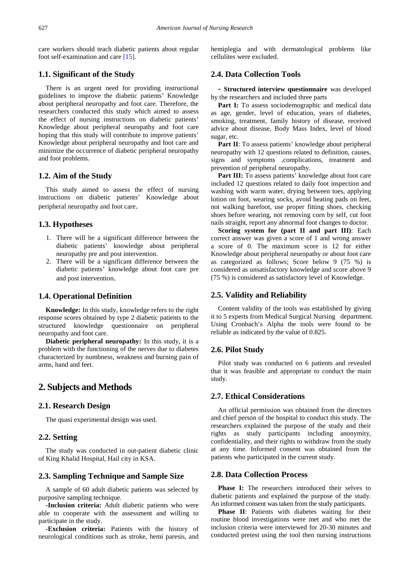care workers should teach diabetic patients about regular foot self-examination and care [\[15\].](#page-5-14)

#### **1.1. Significant of the Study**

There is an urgent need for providing instructional guidelines to improve the diabetic patients' Knowledge about peripheral neuropathy and foot care. Therefore, the researchers conducted this study which aimed to assess the effect of nursing instructions on diabetic patients' Knowledge about peripheral neuropathy and foot care hoping that this study will contribute to improve patients' Knowledge about peripheral neuropathy and foot care and minimize the occurrence of diabetic peripheral neuropathy and foot problems.

## **1.2. Aim of the Study**

This study aimed to assess the effect of nursing instructions on diabetic patients' Knowledge about peripheral neuropathy and foot care.

#### **1.3. Hypotheses**

- 1. There will be a significant difference between the diabetic patients' knowledge about peripheral neuropathy pre and post intervention.
- 2. There will be a significant difference between the diabetic patients' knowledge about foot care pre and post intervention.

### **1.4. Operational Definition**

**Knowledge:** In this study, knowledge refers to the right response scores obtained by type 2 diabetic patients to the structured knowledge questionnaire on peripheral neuropathy and foot care.

**Diabetic peripheral neuropathy:** In this study, it is a problem with the functioning of the nerves due to diabetes characterized by numbness, weakness and burning pain of arms, hand and feet.

# **2. Subjects and Methods**

#### **2.1. Research Design**

The quasi experimental design was used.

#### **2.2. Setting**

The study was conducted in out-patient diabetic clinic of King Khalid Hospital, Hail city in KSA.

# **2.3. Sampling Technique and Sample Size**

A sample of 60 adult diabetic patients was selected by purposive sampling technique.

**-Inclusion criteria:** Adult diabetic patients who were able to cooperate with the assessment and willing to participate in the study.

**-Exclusion criteria:** Patients with the history of neurological conditions such as stroke, hemi paresis, and hemiplegia and with dermatological problems like cellulites were excluded.

#### **2.4. Data Collection Tools**

**- Structured interview questionnaire** was developed by the researchers and included three parts

Part I: To assess sociodemographic and medical data as age, gender, level of education, years of diabetes, smoking, treatment, family history of disease, received advice about disease, Body Mass Index, level of blood sugar, etc.

Part II: To assess patients' knowledge about peripheral neuropathy with 12 questions related to definition, causes, signs and symptoms ,complications, treatment and prevention of peripheral neuropathy.

Part III: To assess patients' knowledge about foot care included 12 questions related to daily foot inspection and washing with warm water, drying between toes, applying lotion on foot, wearing socks, avoid heating pads on feet, not walking barefoot, use proper fitting shoes, checking shoes before wearing, not removing corn by self, cut foot nails straight, report any abnormal foot changes to doctor.

**Scoring system for (part II and part III)**: Each correct answer was given a score of 1 and wrong answer a score of 0. The maximum score is 12 for either Knowledge about peripheral neuropathy or about foot care as categorized as follows; Score below 9 (75 %) is considered as unsatisfactory knowledge and score above 9 (75 %) is considered as satisfactory level of Knowledge.

## **2.5. Validity and Reliability**

Content validity of the tools was established by giving it to 5 experts from Medical Surgical Nursing department. Using Cronbach's Alpha the tools were found to be reliable as indicated by the value of 0.825.

### **2.6. Pilot Study**

Pilot study was conducted on 6 patients and revealed that it was feasible and appropriate to conduct the main study.

#### **2.7. Ethical Considerations**

An official permission was obtained from the directors and chief person of the hospital to conduct this study. The researchers explained the purpose of the study and their rights as study participants including anonymity, confidentiality, and their rights to withdraw from the study at any time. Informed consent was obtained from the patients who participated in the current study.

## **2.8. Data Collection Process**

**Phase I:** The researchers introduced their selves to diabetic patients and explained the purpose of the study. An informed consent was taken from the study participants.

**Phase II**: Patients with diabetes waiting for their routine blood investigations were met and who met the inclusion criteria were interviewed for 20-30 minutes and conducted pretest using the tool then nursing instructions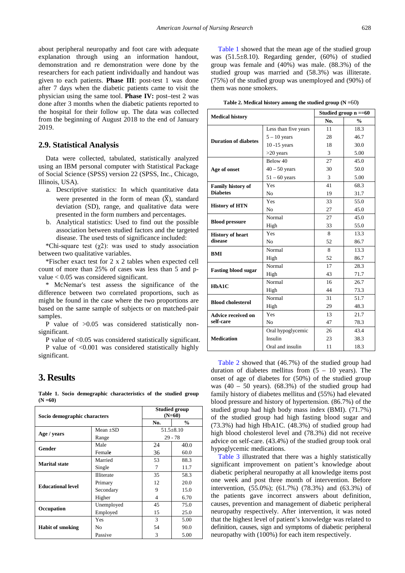about peripheral neuropathy and foot care with adequate explanation through using an information handout, demonstration and re demonstration were done by the researchers for each patient individually and handout was given to each patients. **Phase III**: post-test 1 was done after 7 days when the diabetic patients came to visit the physician using the same tool. **Phase IV:** post–test 2 was done after 3 months when the diabetic patients reported to the hospital for their follow up. The data was collected from the beginning of August 2018 to the end of January 2019.

#### **2.9. Statistical Analysis**

Data were collected, tabulated, statistically analyzed using an IBM personal computer with Statistical Package of Social Science (SPSS) version 22 (SPSS, Inc., Chicago, Illinois, USA).

- a. Descriptive statistics: In which quantitative data were presented in the form of mean  $(X)$ , standard deviation (SD), range, and qualitative data were presented in the form numbers and percentages.
- b. Analytical statistics: Used to find out the possible association between studied factors and the targeted disease. The used tests of significance included:

\*Chi-square test  $(\chi_2)$ : was used to study association between two qualitative variables.

\*Fischer exact test for 2 x 2 tables when expected cell count of more than 25% of cases was less than 5 and pvalue < 0.05 was considered significant.

\* McNemar's test assess the significance of the difference between two correlated proportions, such as might be found in the case where the two proportions are based on the same sample of subjects or on matched-pair samples.

P value of >0.05 was considered statistically nonsignificant.

P value of <0.05 was considered statistically significant. P value of <0.001 was considered statistically highly significant.

### **3. Results**

**Table 1. Socio demographic characteristics of the studied group (N =60)**

<span id="page-2-0"></span>

| Socio demographic characters | <b>Studied group</b><br>$(N=60)$ |                 |      |  |  |
|------------------------------|----------------------------------|-----------------|------|--|--|
|                              | No.                              | $\frac{0}{0}$   |      |  |  |
| Age / years                  | Mean $\pm SD$                    | $51.5 \pm 8.10$ |      |  |  |
|                              | Range                            | $29 - 78$       |      |  |  |
| <b>Gender</b>                | Male                             | 24              | 40.0 |  |  |
|                              | Female                           | 36              | 60.0 |  |  |
| <b>Marital state</b>         | Married                          | 53              | 88.3 |  |  |
|                              | Single                           | 7               | 11.7 |  |  |
|                              | <b>Illiterate</b>                | 35              | 58.3 |  |  |
| <b>Educational level</b>     | Primary                          | 12              | 20.0 |  |  |
|                              | Secondary                        | 9               | 15.0 |  |  |
|                              | Higher                           | 4               | 6.70 |  |  |
| Occupation                   | Unemployed                       | 45              | 75.0 |  |  |
|                              | Employed                         | 15              | 25.0 |  |  |
|                              | Yes                              | 3               | 5.00 |  |  |
| <b>Habit of smoking</b>      | No                               | 54              | 90.0 |  |  |
|                              | Passive                          | 3               | 5.00 |  |  |

[Table 1](#page-2-0) showed that the mean age of the studied group was (51.5±8.10). Regarding gender, (60%) of studied group was female and (40%) was male. (88.3%) of the studied group was married and (58.3%) was illiterate. (75%) of the studied group was unemployed and (90%) of them was none smokers.

|  |  |  |  | Table 2. Medical history among the studied group $(N = 60)$ |  |  |  |
|--|--|--|--|-------------------------------------------------------------|--|--|--|
|--|--|--|--|-------------------------------------------------------------|--|--|--|

<span id="page-2-1"></span>

| <b>Medical history</b>      | Studied group $n == 60$ |               |      |  |
|-----------------------------|-------------------------|---------------|------|--|
|                             | No.                     | $\frac{0}{0}$ |      |  |
|                             | Less than five years    | 11            | 18.3 |  |
| <b>Duration of diabetes</b> | $5 - 10$ years          | 28            | 46.7 |  |
|                             | $10 - 15$ years         | 18            | 30.0 |  |
|                             | $>20$ years             | 3             | 5.00 |  |
|                             | Below 40                | 27            | 45.0 |  |
| Age of onset                | $40 - 50$ years         | 30            | 50.0 |  |
|                             | $51 - 60$ years         | 3             | 5.00 |  |
| <b>Family history of</b>    | Yes                     | 41            | 68.3 |  |
| <b>Diabetes</b>             | No                      | 19            | 31.7 |  |
|                             | Yes                     | 33            | 55.0 |  |
| <b>History of HTN</b>       | N <sub>0</sub>          | 27            | 45.0 |  |
|                             | Normal                  | 27            | 45.0 |  |
| <b>Blood pressure</b>       | High                    | 33            | 55.0 |  |
| <b>History of heart</b>     | Yes                     | 8             | 13.3 |  |
| disease                     | N <sub>0</sub>          | 52            | 86.7 |  |
| <b>BMI</b>                  | Normal                  | 8             | 13.3 |  |
|                             | High                    | 52            | 86.7 |  |
| <b>Fasting blood sugar</b>  | Normal                  | 17            | 28.3 |  |
|                             | High                    | 43            | 71.7 |  |
| HbA1C                       | Normal                  | 16            | 26.7 |  |
|                             | High                    | 44            | 73.3 |  |
| <b>Blood cholesterol</b>    | Normal                  | 31            | 51.7 |  |
|                             | High                    | 29            | 48.3 |  |
| <b>Advice received on</b>   | Yes                     | 13            | 21.7 |  |
| self-care                   | No                      | 47            | 78.3 |  |
|                             | Oral hypoglycemic       | 26            | 43.4 |  |
| <b>Medication</b>           | Insulin                 | 23            | 38.3 |  |
|                             | Oral and insulin        | 11            | 18.3 |  |

[Table 2](#page-2-1) showed that (46.7%) of the studied group had duration of diabetes mellitus from  $(5 - 10$  years). The onset of age of diabetes for (50%) of the studied group was  $(40 - 50$  years).  $(68.3%)$  of the studied group had family history of diabetes mellitus and (55%) had elevated blood pressure and history of hypertension. (86.7%) of the studied group had high body mass index (BMI). (71.7%) of the studied group had high fasting blood sugar and (73.3%) had high HbA1C. (48.3%) of studied group had high blood cholesterol level and (78.3%) did not receive advice on self-care. (43.4%) of the studied group took oral hypoglycemic medications.

[Table 3](#page-3-0) illustrated that there was a highly statistically significant improvement on patient's knowledge about diabetic peripheral neuropathy at all knowledge items post one week and post three month of intervention. Before intervention, (55.0%); (61.7%) (78.3%) and (63.3%) of the patients gave incorrect answers about definition, causes, prevention and management of diabetic peripheral neuropathy respectively. After intervention, it was noted that the highest level of patient's knowledge was related to definition, causes, sign and symptoms of diabetic peripheral neuropathy with (100%) for each item respectively.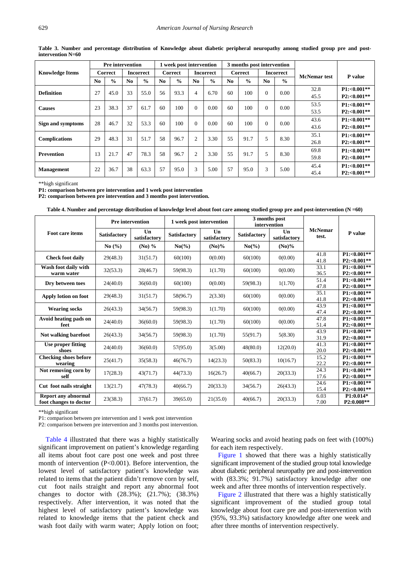<span id="page-3-0"></span>

| <b>Pre</b> intervention |                |               | 1 week post intervention |               |         |               | 3 months post intervention |               |         |               |                  |               |                     |                 |
|-------------------------|----------------|---------------|--------------------------|---------------|---------|---------------|----------------------------|---------------|---------|---------------|------------------|---------------|---------------------|-----------------|
| <b>Knowledge Items</b>  | Correct        |               | <b>Incorrect</b>         |               | Correct |               | <b>Incorrect</b>           |               | Correct |               | <b>Incorrect</b> |               | <b>McNemar</b> test | <b>P</b> value  |
|                         | N <sub>0</sub> | $\frac{0}{0}$ | No.                      | $\frac{0}{0}$ | No.     | $\frac{0}{0}$ | N <sub>0</sub>             | $\frac{0}{0}$ | No.     | $\frac{0}{0}$ | No.              | $\frac{0}{0}$ |                     |                 |
| <b>Definition</b>       | 27             | 45.0          | 33                       | 55.0          | 56      | 93.3          | $\overline{4}$             | 6.70          | 60      | 100           | 0                | 0.00          | 32.8                | $P1: < 0.001**$ |
|                         |                |               |                          |               |         |               |                            |               |         |               |                  |               | 45.5                | $P2: < 0.001**$ |
| <b>Causes</b>           | 23             | 38.3          | 37                       | 61.7          | 60      | 100           | $\Omega$                   | 0.00          | 60      | 100           | $\Omega$         | 0.00          | 53.5                | $P1: < 0.001**$ |
|                         |                |               |                          |               |         |               |                            |               |         |               |                  |               | 53.5                | $P2: < 0.001**$ |
| Sign and symptoms       | 28             | 46.7          | 32                       | 53.3          | 60      | 100           | $\Omega$                   | 0.00          | 60      | 100           | $\Omega$         | 0.00          | 43.6                | $P1: < 0.001**$ |
|                         |                |               |                          |               |         |               |                            |               |         |               |                  |               | 43.6                | $P2: < 0.001**$ |
| <b>Complications</b>    | 29             | 48.3          | 31                       | 51.7          | 58      | 96.7          | $\overline{c}$             | 3.30          | 55      | 91.7          | 5                | 8.30          | 35.1                | $P1: < 0.001**$ |
|                         |                |               |                          |               |         |               |                            |               |         |               |                  |               | 26.8                | $P2: < 0.001**$ |
| Prevention              | 13             | 21.7          | 47                       | 78.3          | 58      | 96.7          | $\overline{c}$             | 3.30          | 55      | 91.7          | 5                | 8.30          | 69.8                | $P1: < 0.001**$ |
|                         |                |               |                          |               |         |               |                            |               |         |               |                  |               | 59.8                | $P2: < 0.001**$ |
|                         | 22             | 36.7          | 38                       | 63.3          | 57      | 95.0          | 3                          | 5.00          | 57      | 95.0          | 3                | 5.00          | 45.4                | $P1: < 0.001**$ |
| <b>Management</b>       |                |               |                          |               |         |               |                            |               |         |               |                  |               | 45.4                | $P2: < 0.001**$ |

**Table 3. Number and percentage distribution of Knowledge about diabetic peripheral neuropathy among studied group pre and postintervention N=60**

\*\*high significant

**P1: comparison between pre intervention and 1 week post intervention**

**P2: comparison between pre intervention and 3 months post intervention.**

| Table 4. Number and percentage distribution of knowledge level about foot care among studied group pre and post-intervention $(N = 60)$ |
|-----------------------------------------------------------------------------------------------------------------------------------------|
|-----------------------------------------------------------------------------------------------------------------------------------------|

<span id="page-3-1"></span>

|                                                      | <b>Pre</b> intervention |                                |                     | 1 week post intervention | intervention        | 3 months post                  |                         |                                    |
|------------------------------------------------------|-------------------------|--------------------------------|---------------------|--------------------------|---------------------|--------------------------------|-------------------------|------------------------------------|
| Foot care items                                      | Satisfactory            | $\mathbf{U}$ n<br>satisfactory | <b>Satisfactory</b> | Un<br>satisfactory       | <b>Satisfactory</b> | $\mathbf{U}$ n<br>satisfactory | <b>McNemar</b><br>test. | P value                            |
|                                                      | No $(\% )$              | $(No)$ %                       | $No(\%)$            | $(N0)$ %                 | $No(\%)$            | $(N0)$ %                       |                         |                                    |
| <b>Check foot daily</b>                              | 29(48.3)                | 31(51.7)                       | 60(100)             | 0(0.00)                  | 60(100)             | 0(0.00)                        | 41.8<br>41.8            | $P1: < 0.001**$<br>$P2: < 0.001**$ |
| Wash foot daily with                                 |                         |                                |                     |                          |                     |                                | 33.1                    | $P1: < 0.001**$                    |
| warm water                                           | 32(53.3)                | 28(46.7)                       | 59(98.3)            | 1(1.70)                  | 60(100)             | 0(0.00)                        | 36.5                    | $P2: < 0.001**$                    |
| Dry between toes                                     | 24(40.0)                | 36(60.0)                       | 60(100)             | 0(0.00)                  | 59(98.3)            | 1(1.70)                        | 51.4                    | $P1: < 0.001**$                    |
|                                                      |                         |                                |                     |                          |                     |                                | 47.8                    | $P2: < 0.001**$                    |
| Apply lotion on foot                                 | 29(48.3)                | 31(51.7)                       | 58(96.7)            | 2(3.30)                  | 60(100)             | 0(0.00)                        | 35.1<br>41.8            | $P1: < 0.001**$<br>$P2: < 0.001**$ |
|                                                      |                         |                                |                     |                          |                     |                                | 43.9                    | $P1: < 0.001**$                    |
| <b>Wearing socks</b>                                 | 26(43.3)                | 34(56.7)                       | 59(98.3)            | 1(1.70)                  | 60(100)             | 0(0.00)                        | 47.4                    | $P2: < 0.001**$                    |
| Avoid heating pads on                                | 24(40.0)                | 36(60.0)                       | 59(98.3)            | 1(1.70)                  | 60(100)             | 0(0.00)                        | 47.8                    | $P1: < 0.001**$                    |
| feet                                                 |                         |                                |                     |                          |                     |                                | 51.4                    | $P2: < 0.001**$                    |
| Not walking barefoot                                 | 26(43.3)                | 34(56.7)                       | 59(98.3)            | 1(1.70)                  | 55(91.7)            | 5(8.30)                        | 43.9                    | $P1: < 0.001**$                    |
|                                                      |                         |                                |                     |                          |                     |                                | 31.9                    | $P2: < 0.001**$                    |
| Use proper fitting<br>shoes                          | 24(40.0)                | 36(60.0)                       | 57(95.0)            | 3(5.00)                  | 48(80.0)            | 12(20.0)                       | 41.3<br>20.0            | $P1: < 0.001**$<br>P2:<0.001**     |
| <b>Checking shoes before</b>                         |                         |                                |                     |                          |                     |                                | 15.2                    | $P1: < 0.001**$                    |
| wearing                                              | 25(41.7)                | 35(58.3)                       | 46(76.7)            | 14(23.3)                 | 50(83.3)            | 10(16.7)                       | 22.2                    | $P2: < 0.001**$                    |
| Not removing corn by                                 | 17(28.3)                | 43(71.7)                       | 44(73.3)            | 16(26.7)                 | 40(66.7)            | 20(33.3)                       | 24.3                    | $P1: < 0.001**$                    |
| self                                                 |                         |                                |                     |                          |                     |                                | 17.6                    | P2:<0.001**                        |
| Cut foot nails straight                              | 13(21.7)                | 47(78.3)                       | 40(66.7)            | 20(33.3)                 | 34(56.7)            | 26(43.3)                       | 24.6                    | $P1: < 0.001**$                    |
|                                                      |                         |                                |                     |                          |                     |                                | 15.4                    | $P2: < 0.001**$                    |
| <b>Report any abnormal</b><br>foot changes to doctor | 23(38.3)                | 37(61.7)                       | 39(65.0)            | 21(35.0)                 | 40(66.7)            | 20(33.3)                       | 6.03<br>7.00            | $P1:0.014*$<br>P2:0.008**          |

\*\*high significant

P1: comparison between pre intervention and 1 week post intervention

P2: comparison between pre intervention and 3 months post intervention.

[Table 4](#page-3-1) illustrated that there was a highly statistically significant improvement on patient's knowledge regarding all items about foot care post one week and post three month of intervention (P<0.001). Before intervention, the lowest level of satisfactory patient's knowledge was related to items that the patient didn't remove corn by self, cut foot nails straight and report any abnormal foot changes to doctor with (28.3%); (21.7%); (38.3%) respectively. After intervention, it was noted that the highest level of satisfactory patient's knowledge was related to knowledge items that the patient check and wash foot daily with warm water; Apply lotion on foot; Wearing socks and avoid heating pads on feet with (100%) for each item respectively.

[Figure 1](#page-4-0) showed that there was a highly statistically significant improvement of the studied group total knowledge about diabetic peripheral neuropathy pre and post-intervention with (83.3%; 91.7%) satisfactory knowledge after one week and after three months of intervention respectively.

[Figure 2](#page-4-1) illustrated that there was a highly statistically significant improvement of the studied group total knowledge about foot care pre and post-intervention with (95%, 93.3%) satisfactory knowledge after one week and after three months of intervention respectively.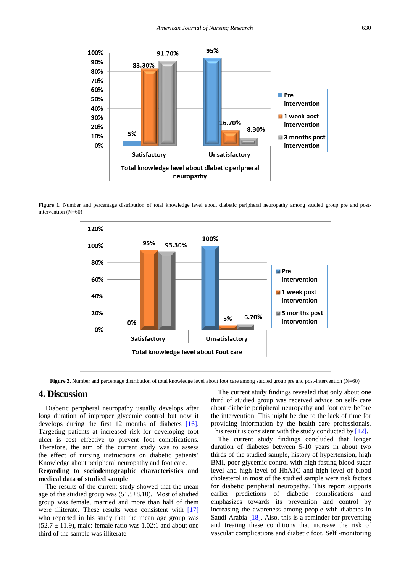<span id="page-4-0"></span>

<span id="page-4-1"></span>Figure 1. Number and percentage distribution of total knowledge level about diabetic peripheral neuropathy among studied group pre and postintervention (N=60)



**Figure 2.** Number and percentage distribution of total knowledge level about foot care among studied group pre and post-intervention (N=60)

# **4. Discussion**

Diabetic peripheral neuropathy usually develops after long duration of improper glycemic control but now it develops during the first 12 months of diabetes [\[16\].](#page-5-15) Targeting patients at increased risk for developing foot ulcer is cost effective to prevent foot complications. Therefore, the aim of the current study was to assess the effect of nursing instructions on diabetic patients' Knowledge about peripheral neuropathy and foot care.

#### **Regarding to sociodemographic characteristics and medical data of studied sample**

The results of the current study showed that the mean age of the studied group was (51.5±8.10). Most of studied group was female, married and more than half of them were illiterate. These results were consistent with [\[17\]](#page-6-0) who reported in his study that the mean age group was  $(52.7 \pm 11.9)$ , male: female ratio was 1.02:1 and about one third of the sample was illiterate.

The current study findings revealed that only about one third of studied group was received advice on self- care about diabetic peripheral neuropathy and foot care before the intervention. This might be due to the lack of time for providing information by the health care professionals. This result is consistent with the study conducted by [\[12\].](#page-5-11)

The current study findings concluded that longer duration of diabetes between 5-10 years in about two thirds of the studied sample, history of hypertension, high BMI, poor glycemic control with high fasting blood sugar level and high level of HbA1C and high level of blood cholesterol in most of the studied sample were risk factors for diabetic peripheral neuropathy. This report supports earlier predictions of diabetic complications and emphasizes towards its prevention and control by increasing the awareness among people with diabetes in Saudi Arabia [\[18\].](#page-6-1) Also, this is a reminder for preventing and treating these conditions that increase the risk of vascular complications and diabetic foot. Self -monitoring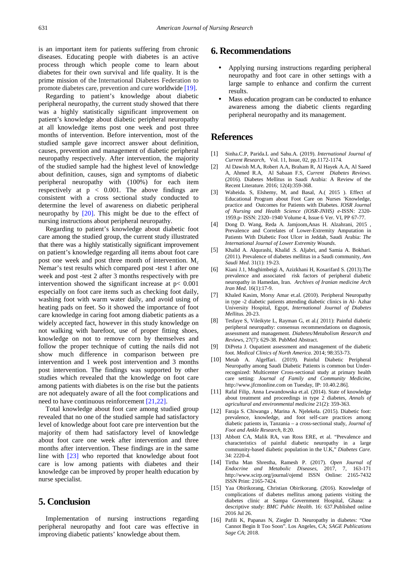is an important item for patients suffering from chronic diseases. Educating people with diabetes is an active process through which people come to learn about diabetes for their own survival and life quality. It is the prime mission of the International Diabetes Federation to promote diabetes care, prevention and cure worldwide [\[19\].](#page-6-2) 

Regarding to patient's knowledge about diabetic peripheral neuropathy, the current study showed that there was a highly statistically significant improvement on patient's knowledge about diabetic peripheral neuropathy at all knowledge items post one week and post three months of intervention. Before intervention, most of the studied sample gave incorrect answer about definition, causes, prevention and management of diabetic peripheral neuropathy respectively. After intervention, the majority of the studied sample had the highest level of knowledge about definition, causes, sign and symptoms of diabetic peripheral neuropathy with (100%) for each item respectively at  $p < 0.001$ . The above findings are consistent with a cross sectional study conducted to determine the level of awareness on diabetic peripheral neuropathy by [\[20\].](#page-6-3) This might be due to the effect of nursing instructions about peripheral neuropathy.

Regarding to patient's knowledge about diabetic foot care among the studied group, the current study illustrated that there was a highly statistically significant improvement on patient's knowledge regarding all items about foot care post one week and post three month of intervention.  $M_c$ Nemar's test results which compared post -test 1 after one week and post -test 2 after 3 months respectively with pre intervention showed the significant increase at  $p < 0.001$ especially on foot care items such as checking foot daily, washing foot with warm water daily, and avoid using of heating pads on feet. So it showed the importance of foot care knowledge in caring foot among diabetic patients as a widely accepted fact, however in this study knowledge on not walking with barefoot, use of proper fitting shoes, knowledge on not to remove corn by themselves and follow the proper technique of cutting the nails did not show much difference in comparison between pre intervention and 1 week post intervention and 3 months post intervention. The findings was supported by other studies which revealed that the knowledge on foot care among patients with diabetes is on the rise but the patients are not adequately aware of all the foot complications and need to have continuous reinforcemen[t \[21,22\].](#page-6-4)

Total knowledge about foot care among studied group revealed that no one of the studied sample had satisfactory level of knowledge about foot care pre intervention but the majority of them had satisfactory level of knowledge about foot care one week after intervention and three months after intervention. These findings are in the same line with [\[23\]](#page-6-5) who reported that knowledge about foot care is low among patients with diabetes and their knowledge can be improved by proper health education by nurse specialist.

# **5. Conclusion**

Implementation of nursing instructions regarding peripheral neuropathy and foot care was effective in improving diabetic patients' knowledge about them.

# **6. Recommendations**

- Applying nursing instructions regarding peripheral neuropathy and foot care in other settings with a large sample to enhance and confirm the current results.
- Mass education program can be conducted to enhance awareness among the diabetic clients regarding peripheral neuropathy and its management.

## **References**

- <span id="page-5-0"></span>[1] Sinha.C.P, Parida.L and Sahu.A. (2019). *International Journal of Current Research,* Vol. 11, Issue, 02, pp.1172-1174.
- <span id="page-5-1"></span>[2] Al Dawish M.A, Robert A.A, Braham R, Al Hayek A.A, Al Saeed A, Ahmed R.A, Al Sabaan F.S, *Current Diabetes Reviews*. (2016). Diabetes Mellitus in Saudi Arabia: A Review of the Recent Literature. 2016; 12(4):359-368.
- <span id="page-5-2"></span>[3] Waheida. S, Elshemy, M, and Basal, A.( 2015 ). Effect of Educational Program about Foot Care on Nurses 'Knowledge, practice and Outcomes for Patients with Diabetes. *IOSR Journal of Nursing and Health Science (IOSR-JNHS) e-*ISSN: 2320- 1959.p- ISSN: 2320–1940 Volume 4, Issue 6 Ver. VI, PP 67-77.
- <span id="page-5-3"></span>[4] Dong D. Wang, Reda A. Jamjoom,Anas H. Alzahrani, 2015 , Prevalence and Correlates of Lower-Extremity Amputation in Patients With Diabetic Foot Ulcer in Jeddah, Saudi Arabia: *The International Journal of Lower Extremity Wounds*.
- <span id="page-5-4"></span>[5] Khalid A. Alqurashi, Khalid .S. Aljabri, and Samia A. Bokhari. (2011). Prevalence of diabetes mellitus in a Saudi community, *Ann Saudi Med*. 31(1): 19-23.
- <span id="page-5-5"></span>[6] Kiani J.1, Moghimbeigi A, Azizkhani H, Kosarifard S. (2013).The prevalence and associated risk factors of peripheral diabetic neuropathy in Hamedan, Iran. *Archives of Iranian medicine Arch Iran Med*. 16(1):17-9.
- <span id="page-5-6"></span>[7] Khaled Kasim, Morsy Amar et.al. (2010). Peripheral Neuropathy in type -2 diabetic patients attending diabetic clinics in Al- Azhar University Hospital, Egypt, *International Journal of Diabetes Mellitus*. 20-23.
- <span id="page-5-7"></span>[8] Tesfaye S, Vileikyte L, Rayman G, et al.( 2011): Painful diabetic peripheral neuropathy: consensus recommendations on diagnosis, assessment and management. *Diabetes/Metabolism Research and Reviews*, 27(7): 629-38. PubMed Abstract.
- <span id="page-5-8"></span>[9] DiPreta J. Oupatient assessment and management of the diabetic foot. *Medical Clinics of North America*. 2014; 98:353-73.
- <span id="page-5-9"></span>[10] Metab A. Algeffari. (2019). Painful Diabetic Peripheral Neuropathy among Saudi Diabetic Patients is common but Underrecognized: Multicenter Cross-sectional study at primary health care setting: *Journal of Family and Community Medicine*, http://www.jfcmonline.com on Tuesday, IP: 10.40.2.86].
- <span id="page-5-10"></span>[11] Rafal Filip, Anna Lewandowska et.al. (2014). State of knowledge about treatment and proceedings in type 2 diabetes, *Annals of agricultural and environmental medicine* 21(2): 359-363.
- <span id="page-5-11"></span>[12] Faraja S. Chiwanga , Marina A. Njelekela. (2015). Diabetic foot: prevalence, knowledge, and foot self-care practices among diabetic patients in, Tanzania – a cross-sectional study, *Journal of Foot and Ankle Research*, 8:20.
- <span id="page-5-12"></span>[13] Abbott CA, Malik RA, van Ross ERE, et al. "Prevalence and characteristics of painful diabetic neuropathy in a large community-based diabetic population in the U.K," *Diabetes Care*. 34: 2220-4.
- <span id="page-5-13"></span>[14] Tirtha Man Shrestha, Ramesh P. (2017). *Open Journal of Endocrine and Metabolic Diseases*, 2017, 7, 163-171 http://www.scirp.org/journal/ojemd ISSN Online: 2165-7432 ISSN Print: 2165-7424.
- <span id="page-5-14"></span>[15] Yaa Obirikorang, Christian Obirikorang. (2016). Knowledge of complications of diabetes mellitus among patients visiting the diabetes clinic at Sampa Government Hospital, Ghana: a descriptive study: *BMC Public Health*. 16: 637.Published online 2016 Jul 26.
- <span id="page-5-15"></span>[16] Pafili K, Papanas N, Ziegler D. Neuropathy in diabetes: "One Cannot Begin It Too Soon". Los Angeles, CA; *SAGE Publications Sage CA*; 2018.